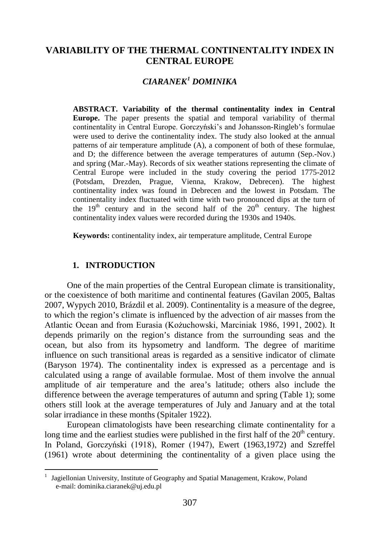## **VARIABILITY OF THE THERMAL CONTINENTALITY INDEX IN CENTRAL EUROPE**

# *CIARANEK[1](#page-0-0) DOMINIKA*

**ABSTRACT. Variability of the thermal continentality index in Central Europe.** The paper presents the spatial and temporal variability of thermal continentality in Central Europe. Gorczyński's and Johansson-Ringleb's formulae were used to derive the continentality index. The study also looked at the annual patterns of air temperature amplitude (A), a component of both of these formulae, and D; the difference between the average temperatures of autumn (Sep.-Nov.) and spring (Mar.-May). Records of six weather stations representing the climate of Central Europe were included in the study covering the period 1775-2012 (Potsdam, Drezden, Prague, Vienna, Krakow, Debrecen). The highest continentality index was found in Debrecen and the lowest in Potsdam. The continentality index fluctuated with time with two pronounced dips at the turn of the  $19<sup>th</sup>$  century and in the second half of the  $20<sup>th</sup>$  century. The highest continentality index values were recorded during the 1930s and 1940s.

**Keywords:** continentality index, air temperature amplitude, Central Europe

### **1. INTRODUCTION**

l

One of the main properties of the Central European climate is transitionality, or the coexistence of both maritime and continental features (Gavilan 2005, Baltas 2007, Wypych 2010, Brázdil et al. 2009). Continentality is a measure of the degree, to which the region's climate is influenced by the advection of air masses from the Atlantic Ocean and from Eurasia (Kożuchowski, Marciniak 1986, 1991, 2002). It depends primarily on the region's distance from the surrounding seas and the ocean, but also from its hypsometry and landform. The degree of maritime influence on such transitional areas is regarded as a sensitive indicator of climate (Baryson 1974). The continentality index is expressed as a percentage and is calculated using a range of available formulae. Most of them involve the annual amplitude of air temperature and the area's latitude; others also include the difference between the average temperatures of autumn and spring (Table 1); some others still look at the average temperatures of July and January and at the total solar irradiance in these months (Spitaler 1922).

European climatologists have been researching climate continentality for a long time and the earliest studies were published in the first half of the  $20<sup>th</sup>$  century. In Poland, Gorczyński (1918), Romer (1947), Ewert (1963,1972) and Szreffel (1961) wrote about determining the continentality of a given place using the

<span id="page-0-0"></span><sup>&</sup>lt;sup>1</sup> Jagiellonian University, Institute of Geography and Spatial Management, Krakow, Poland e-mail: dominika.ciaranek@uj.edu.pl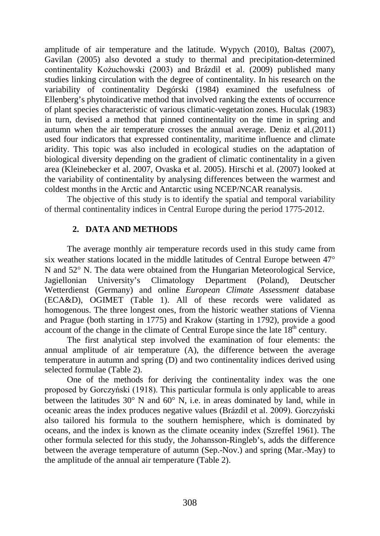amplitude of air temperature and the latitude. Wypych (2010), Baltas (2007), Gavilan (2005) also devoted a study to thermal and precipitation-determined continentality Kożuchowski (2003) and Brázdil et al. (2009) published many studies linking circulation with the degree of continentality. In his research on the variability of continentality Degórski (1984) examined the usefulness of Ellenberg's phytoindicative method that involved ranking the extents of occurrence of plant species characteristic of various climatic-vegetation zones. Huculak (1983) in turn, devised a method that pinned continentality on the time in spring and autumn when the air temperature crosses the annual average. Deniz et al.(2011) used four indicators that expressed continentality, maritime influence and climate aridity. This topic was also included in ecological studies on the adaptation of biological diversity depending on the gradient of climatic continentality in a given area (Kleinebecker et al. 2007, Ovaska et al. 2005). Hirschi et al. (2007) looked at the variability of continentality by analysing differences between the warmest and coldest months in the Arctic and Antarctic using NCEP/NCAR reanalysis.

The objective of this study is to identify the spatial and temporal variability of thermal continentality indices in Central Europe during the period 1775-2012.

## **2. DATA AND METHODS**

The average monthly air temperature records used in this study came from six weather stations located in the middle latitudes of Central Europe between 47° N and 52° N. The data were obtained from the Hungarian Meteorological Service, Jagiellonian University's Climatology Department (Poland), Deutscher Wetterdienst (Germany) and online *European Climate Assessment* database (ECA&D), OGIMET (Table 1). All of these records were validated as homogenous. The three longest ones, from the historic weather stations of Vienna and Prague (both starting in 1775) and Krakow (starting in 1792), provide a good account of the change in the climate of Central Europe since the late  $18<sup>th</sup>$  century.

The first analytical step involved the examination of four elements: the annual amplitude of air temperature (A), the difference between the average temperature in autumn and spring (D) and two continentality indices derived using selected formulae (Table 2).

One of the methods for deriving the continentality index was the one proposed by Gorczyński (1918). This particular formula is only applicable to areas between the latitudes 30° N and 60° N, i.e. in areas dominated by land, while in oceanic areas the index produces negative values (Brázdil et al. 2009). Gorczyński also tailored his formula to the southern hemisphere, which is dominated by oceans, and the index is known as the climate oceanity index (Szreffel 1961). The other formula selected for this study, the Johansson-Ringleb's, adds the difference between the average temperature of autumn (Sep.-Nov.) and spring (Mar.-May) to the amplitude of the annual air temperature (Table 2).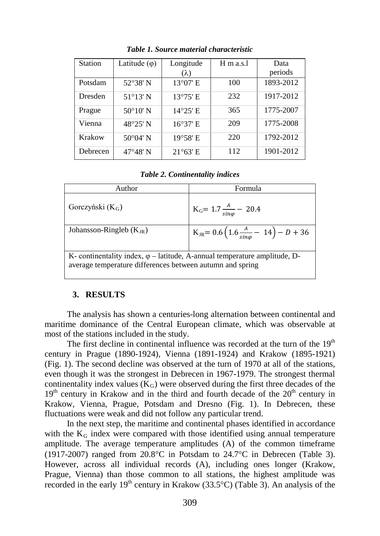| <b>Station</b> | Latitude $(\varphi)$ | Longitude         | $H$ m a.s. | Data      |  |
|----------------|----------------------|-------------------|------------|-----------|--|
|                |                      | $(\lambda)$       |            | periods   |  |
| Potsdam        | 52°38' N             | 13°07' E          | 100        | 1893-2012 |  |
| Dresden        | $51^{\circ}13'$ N    | $13^{\circ}75'$ E | 232        | 1917-2012 |  |
| Prague         | $50^{\circ}10'$ N    | $14^{\circ}25'$ E | 365        | 1775-2007 |  |
| Vienna         | 48°25' N             | 16°37' E          | 209        | 1775-2008 |  |
| Krakow         | $50^{\circ}04'$ N    | 19°58' E          | 220        | 1792-2012 |  |
| Debrecen       | $47^{\circ}48'$ N    | $21^{\circ}63'$ E | 112        | 1901-2012 |  |

*Table 1. Source material characteristic*

*Table 2. Continentality indices*

| Author                                                                                                                                         | Formula                                                                      |  |  |  |  |
|------------------------------------------------------------------------------------------------------------------------------------------------|------------------------------------------------------------------------------|--|--|--|--|
| Gorczyński $(K_G)$                                                                                                                             | $K_G = 1.7 \frac{A}{\sin \varphi} - 20.4$                                    |  |  |  |  |
| Johansson-Ringleb $(K_{IR})$                                                                                                                   | $K_{\text{JR}} = 0.6 \left( 1.6 \frac{A}{\text{sing}} - 14 \right) - D + 36$ |  |  |  |  |
| K- continentality index, $\varphi$ – latitude, A-annual temperature amplitude, D-<br>average temperature differences between autumn and spring |                                                                              |  |  |  |  |

#### **3. RESULTS**

The analysis has shown a centuries-long alternation between continental and maritime dominance of the Central European climate, which was observable at most of the stations included in the study.

The first decline in continental influence was recorded at the turn of the  $19<sup>th</sup>$ century in Prague (1890-1924), Vienna (1891-1924) and Krakow (1895-1921) (Fig. 1). The second decline was observed at the turn of 1970 at all of the stations, even though it was the strongest in Debrecen in 1967-1979. The strongest thermal continentality index values  $(K_G)$  were observed during the first three decades of the  $19<sup>th</sup>$  century in Krakow and in the third and fourth decade of the  $20<sup>th</sup>$  century in Krakow, Vienna, Prague, Potsdam and Dresno (Fig. 1). In Debrecen, these fluctuations were weak and did not follow any particular trend.

In the next step, the maritime and continental phases identified in accordance with the  $K_G$  index were compared with those identified using annual temperature amplitude. The average temperature amplitudes (A) of the common timeframe (1917-2007) ranged from 20.8°C in Potsdam to 24.7°C in Debrecen (Table 3). However, across all individual records (A), including ones longer (Krakow, Prague, Vienna) than those common to all stations, the highest amplitude was recorded in the early  $19<sup>th</sup>$  century in Krakow (33.5°C) (Table 3). An analysis of the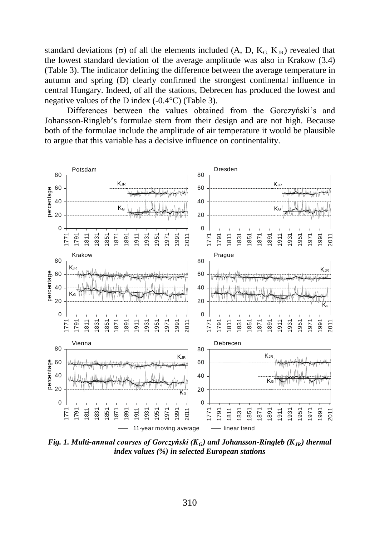standard deviations (σ) of all the elements included (A, D,  $K_G$ ,  $K_R$ ) revealed that the lowest standard deviation of the average amplitude was also in Krakow (3.4) (Table 3). The indicator defining the difference between the average temperature in autumn and spring (D) clearly confirmed the strongest continental influence in central Hungary. Indeed, of all the stations, Debrecen has produced the lowest and negative values of the D index (-0.4°C) (Table 3).

Differences between the values obtained from the Gorczyński's and Johansson-Ringleb's formulae stem from their design and are not high. Because both of the formulae include the amplitude of air temperature it would be plausible to argue that this variable has a decisive influence on continentality.



*Fig. 1. Multi-annual courses of Gorczyński (KG) and Johansson-Ringleb (KJR) thermal index values (%) in selected European stations*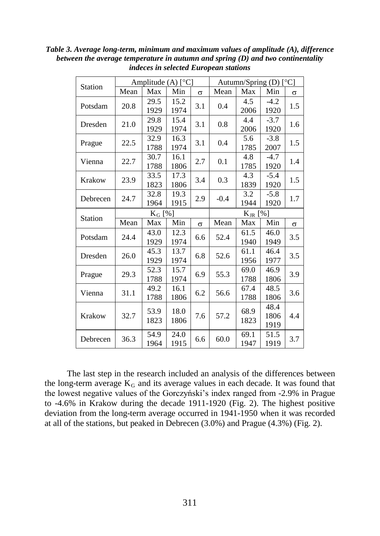| Station        | Amplitude $(A)$ [ $^{\circ}$ C] |              |              | Autumn/Spring (D) $[°C]$ |        |              |                      |          |
|----------------|---------------------------------|--------------|--------------|--------------------------|--------|--------------|----------------------|----------|
|                | Mean                            | Max          | Min          | $\sigma$                 | Mean   | Max          | Min                  | $\sigma$ |
| Potsdam        | 20.8                            | 29.5<br>1929 | 15.2<br>1974 | 3.1                      | 0.4    | 4.5<br>2006  | $-4.2$<br>1920       | 1.5      |
| Dresden        | 21.0                            | 29.8<br>1929 | 15.4<br>1974 | 3.1                      | 0.8    | 4.4<br>2006  | $-3.7$<br>1920       | 1.6      |
| Prague         | 22.5                            | 32.9<br>1788 | 16.3<br>1974 | 3.1                      | 0.4    | 5.6<br>1785  | $-3.8$<br>2007       | 1.5      |
| Vienna         | 22.7                            | 30.7<br>1788 | 16.1<br>1806 | 2.7                      | 0.1    | 4.8<br>1785  | $-4.7$<br>1920       | 1.4      |
| Krakow         | 23.9                            | 33.5<br>1823 | 17.3<br>1806 | 3.4                      | 0.3    | 4.3<br>1839  | $-5.4$<br>1920       | 1.5      |
| Debrecen       | 24.7                            | 32.8<br>1964 | 19.3<br>1915 | 2.9                      | $-0.4$ | 3.2<br>1944  | $-5.8$<br>1920       | 1.7      |
| <b>Station</b> | $K_G$ [%]                       |              |              | $K_{JR}$ [%]             |        |              |                      |          |
|                | Mean                            | Max          | Min          | $\sigma$                 | Mean   | Max          | Min                  | $\sigma$ |
| Potsdam        | 24.4                            | 43.0<br>1929 | 12.3<br>1974 | 6.6                      | 52.4   | 61.5<br>1940 | 46.0<br>1949         | 3.5      |
| Dresden        | 26.0                            | 45.3<br>1929 | 13.7<br>1974 | 6.8                      | 52.6   | 61.1<br>1956 | 46.4<br>1977         | 3.5      |
| Prague         | 29.3                            | 52.3<br>1788 | 15.7<br>1974 | 6.9                      | 55.3   | 69.0<br>1788 | 46.9<br>1806         | 3.9      |
| Vienna         | 31.1                            | 49.2<br>1788 | 16.1<br>1806 | 6.2                      | 56.6   | 67.4<br>1788 | 48.5<br>1806         | 3.6      |
| Krakow         | 32.7                            | 53.9<br>1823 | 18.0<br>1806 | 7.6                      | 57.2   | 68.9<br>1823 | 48.4<br>1806<br>1919 | 4.4      |
| Debrecen       | 36.3                            | 54.9<br>1964 | 24.0<br>1915 | 6.6                      | 60.0   | 69.1<br>1947 | 51.5<br>1919         | 3.7      |

*Table 3. Average long-term, minimum and maximum values of amplitude (A), difference between the average temperature in autumn and spring (D) and two continentality indeces in selected European stations*

The last step in the research included an analysis of the differences between the long-term average  $K_G$  and its average values in each decade. It was found that the lowest negative values of the Gorczyński's index ranged from -2.9% in Prague to -4.6% in Krakow during the decade 1911-1920 (Fig. 2). The highest positive deviation from the long-term average occurred in 1941-1950 when it was recorded at all of the stations, but peaked in Debrecen (3.0%) and Prague (4.3%) (Fig. 2).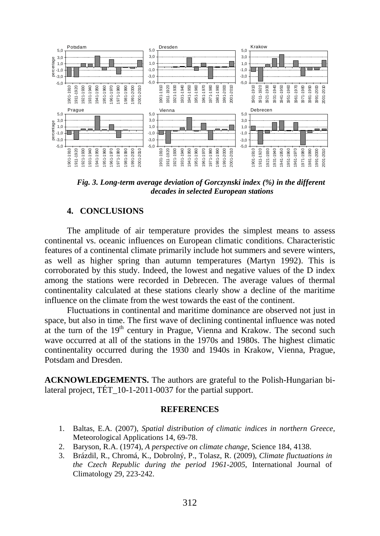

*Fig. 3. Long-term average deviation of Gorczynski index (%) in the different decades in selected European stations*

### **4. CONCLUSIONS**

The amplitude of air temperature provides the simplest means to assess continental vs. oceanic influences on European climatic conditions. Characteristic features of a continental climate primarily include hot summers and severe winters, as well as higher spring than autumn temperatures (Martyn 1992). This is corroborated by this study. Indeed, the lowest and negative values of the D index among the stations were recorded in Debrecen. The average values of thermal continentality calculated at these stations clearly show a decline of the maritime influence on the climate from the west towards the east of the continent.

Fluctuations in continental and maritime dominance are observed not just in space, but also in time. The first wave of declining continental influence was noted at the turn of the  $19<sup>th</sup>$  century in Prague, Vienna and Krakow. The second such wave occurred at all of the stations in the 1970s and 1980s. The highest climatic continentality occurred during the 1930 and 1940s in Krakow, Vienna, Prague, Potsdam and Dresden.

**ACKNOWLEDGEMENTS.** The authors are grateful to the Polish-Hungarian bilateral project, TÉT\_10-1-2011-0037 for the partial support.

#### **REFERENCES**

- 1. Baltas, E.A. (2007), *Spatial distribution of climatic indices in northern Greece,*  Meteorological Applications 14, 69-78.
- 2. Baryson, R.A. (1974), *A perspective on climate change*, Science 184, 4138.
- 3. Brázdil, R., Chromá, K., Dobrolný, P., Tolasz, R. (2009), *Climate fluctuations in the Czech Republic during the period 1961-2005*, International Journal of Climatology 29, 223-242.